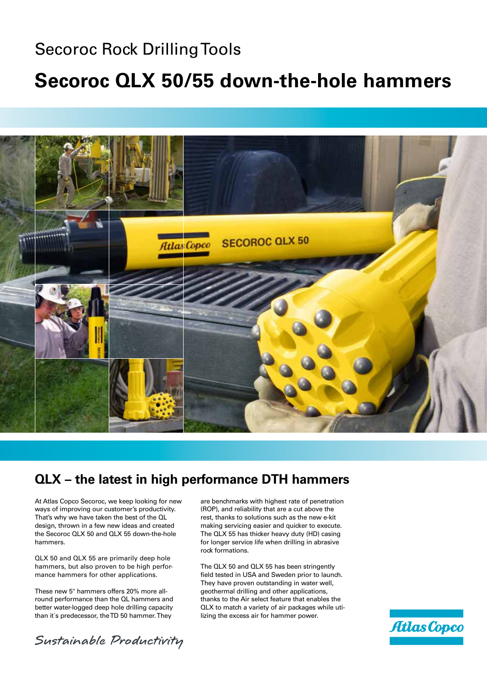## Secoroc Rock Drilling Tools

# **Secoroc QLX 50/55 down-the-hole hammers**



### **QLX – the latest in high performance DTH hammers**

At Atlas Copco Secoroc, we keep looking for new ways of improving our customer's productivity. That's why we have taken the best of the QL design, thrown in a few new ideas and created the Secoroc QLX 50 and QLX 55 down-the-hole hammers.

QLX 50 and QLX 55 are primarily deep hole hammers, but also proven to be high performance hammers for other applications.

These new 5" hammers offers 20% more allround performance than the QL hammers and better water-logged deep hole drilling capacity than it´s predecessor, the TD 50 hammer. They

are benchmarks with highest rate of penetration (ROP), and reliability that are a cut above the rest, thanks to solutions such as the new e-kit making servicing easier and quicker to execute. The QLX 55 has thicker heavy duty (HD) casing for longer service life when drilling in abrasive rock formations.

The QLX 50 and QLX 55 has been stringently field tested in USA and Sweden prior to launch. They have proven outstanding in water well, geothermal drilling and other applications, thanks to the Air select feature that enables the QLX to match a variety of air packages while utilizing the excess air for hammer power.



Sustainable Productivity